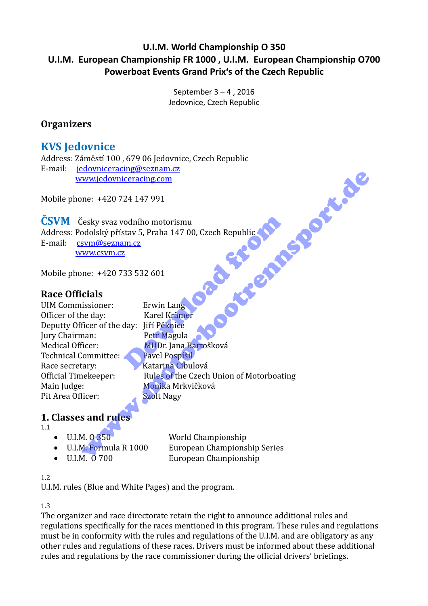#### **U.I.M. World Championship O 350 U.I.M. European Championship FR 1000 , U.I.M. European Championship O700 Powerboat Events Grand Prix's of the Czech Republic**

September 3 – 4 , 2016 Jedovnice, Czech Republic

#### **Organizers**

#### **KVS Jedovnice**

Address: Záměstí 100 , 679 06 Jedovnice, Czech Republic E-mail: jedovniceracing@seznam.cz www.jedovniceracing.com

Mobile phone: +420 724 147 991

**ČSVM** Česky svaz vodního motorismu Address: Podolský přístav 5, Praha 147 00, Czech Republic E-mail: csvm@seznam.cz www.csvm.cz

Mobile phone: +420 733 532 601

#### **Race Officials**

UIM Commissioner: Erwin Lang Officer of the day: Karel Krämer Deputty Officer of the day: Jiří Pěknice Jury Chairman: Petr Magula Medical Officer: MUDr. Jana Bartošková Technical Committee: Pavel Pospíšil Race secretary: Katarina Cibulová Main Judge: Monika Mrkvičková Pit Area Officer: Szolt Nagy

Official Timekeeper: Rules of the Czech Union of Motorboating odního motorismu<br>
stav 5, Praha 147 00, Czech Republic<br>
<u>m.cz</u><br>
2<br>
33 532 601<br>
Erwin Lang<br>
Karel Krämer<br>
day: Jiří Pěknice<br>
Petr Magula<br>
MUDr. Jana Bartošková<br>
Pavel Pospíšil<br>
Katarina Cibulová WedWorlderachte.com<br>
Mesky svaz vodního motorismu<br>
sesky svaz vodního motorismu<br>
sesky svaz vodního motorismu<br>
sesky svaz vodního motorismu<br>
sesky svaz vodního motorismu<br>
sesky svaz vodního motorismu<br>
sesky svaz vodního mo

#### **1. Classes and rule**

| τ  |  |  |  |
|----|--|--|--|
| 1. |  |  |  |

| $\bullet$ U.I.M. 0350   | World Championship           |
|-------------------------|------------------------------|
| • U.I.M. Formula R 1000 | European Championship Series |
| $\bullet$ U.I.M. 0 700  | European Championship        |

#### 1.2

U.I.M. rules (Blue and White Pages) and the program.

#### 1.3

The organizer and race directorate retain the right to announce additional rules and regulations specifically for the races mentioned in this program. These rules and regulations must be in conformity with the rules and regulations of the U.I.M. and are obligatory as any other rules and regulations of these races. Drivers must be informed about these additional rules and regulations by the race commissioner during the official drivers' briefings.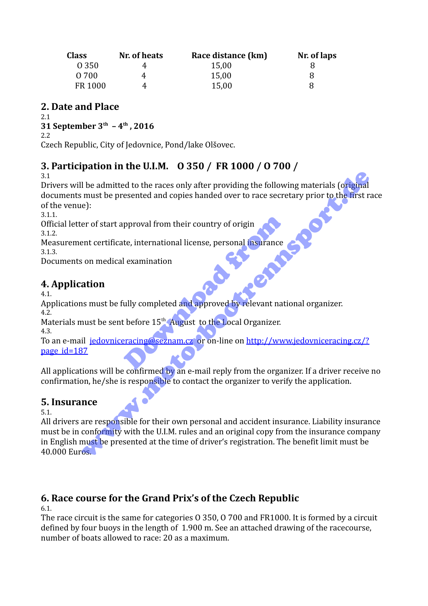| <b>Class</b> | Nr. of heats | Race distance (km) | Nr. of laps |
|--------------|--------------|--------------------|-------------|
| 0 3 5 0      |              | 15,00              |             |
| O 700        |              | 15,00              | 8           |
| FR 1000      |              | 15,00              |             |

#### **2. Date and Place**

2.1

**31 September 3th – 4th , 2016**

2.2

Czech Republic, City of Jedovnice, Pond/lake Olšovec.

## **3. Participation in the U.I.M. O 350 / FR 1000 / O 700 /**

3.1

Drivers will be admitted to the races only after providing the following materials (original documents must be presented and copies handed over to race secretary prior to the first race of the venue):

3.1.1.

Official letter of start approval from their country of origin 3.1.2.

Measurement certificate, international license, personal insurance<br>3.1.3.<br>**4. Application** 3.1.3.

Documents on medical examination

## **4. Application**

4.1.

Applications must be fully completed and approved by relevant national organizer.

4.2. Materials must be sent before 15<sup>th</sup> August to the Local Organizer.

4.3.

To an e-mail jedovniceracing@seznam.cz or on-line on http://www.jedovniceracing.cz/? page id=187 pproval from their country of origin<br>te, international license, personal insurance<br>l examination<br>ully completed and approved by relevant national before 15<sup>th</sup> August to the Local Organizer.<br>Pracing Conservation of the Loc

All applications will be confirmed by an e-mail reply from the organizer. If a driver receive no confirmation, he/she is responsible to contact the organizer to verify the application.

### **5. Insurance**

5.1.

All drivers are responsible for their own personal and accident insurance. Liability insurance must be in conformity with the U.I.M. rules and an original copy from the insurance company in English must be presented at the time of driver's registration. The benefit limit must be 40.000 Euros. The admitted to the races only after providing the following materials (original<br>must be presented and copies handed over to race secretary prior to the first rapid and<br>e):<br><br>er of start approval from their country of origi

## **6. Race course for the Grand Prix's of the Czech Republic**

6.1.

The race circuit is the same for categories O 350, O 700 and FR1000. It is formed by a circuit defined by four buoys in the length of 1.900 m. See an attached drawing of the racecourse, number of boats allowed to race: 20 as a maximum.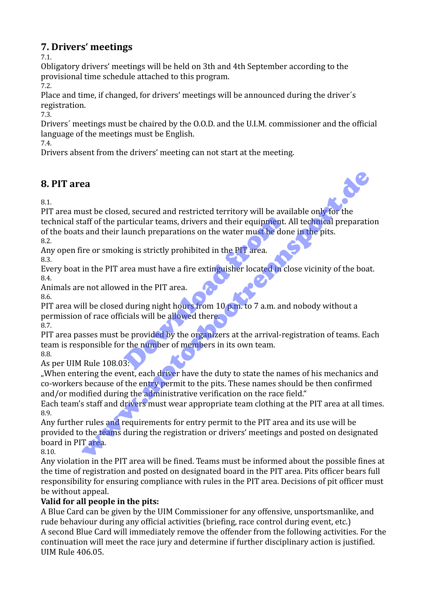### **7. Drivers' meetings**

7.1.

Obligatory drivers' meetings will be held on 3th and 4th September according to the provisional time schedule attached to this program.

7.2.

Place and time, if changed, for drivers' meetings will be announced during the driver´s registration.

7.3.

Drivers´ meetings must be chaired by the O.O.D. and the U.I.M. commissioner and the official language of the meetings must be English.

7.4.

Drivers absent from the drivers' meeting can not start at the meeting.

### **8. PIT area**

8.1.

PIT area must be closed, secured and restricted territory will be available only for the technical staff of the particular teams, drivers and their equipment. All technical preparation of the boats and their launch preparations on the water must be done in the pits. 8.2. aunch preparations on the water requipment.<br>
aunch preparations on the water must be don<br>
ing is strictly prohibited in the PIT area.<br>
<br>
rea must have a fire extinguisher located in c<br>
ed in the PIT area.<br>
<br>
during night h ea<br>
and the closed, secured and restricted territory will be available only for the<br>
reaff of the particular teams, drivers and their equipment. All technical preparation<br>
and their launch preparations on the water must be

Any open fire or smoking is strictly prohibited in the PIT area. 8.3.

Every boat in the PIT area must have a fire extinguisher located in close vicinity of the boat. 8.4.

Animals are not allowed in the PIT area.

8.6.

PIT area will be closed during night hours from 10 p.m. to 7 a.m. and nobody without a permission of race officials will be allowed there.

8.7.

PIT area passes must be provided by the organizers at the arrival-registration of teams. Each team is responsible for the number of members in its own team. 8.8.

As per UIM Rule 108.03:

"When entering the event, each driver have the duty to state the names of his mechanics and co-workers because of the entry permit to the pits. These names should be then confirmed and/or modified during the administrative verification on the race field."

Each team's staff and drivers must wear appropriate team clothing at the PIT area at all times. 8.9.

Any further rules and requirements for entry permit to the PIT area and its use will be provided to the teams during the registration or drivers' meetings and posted on designated board in PIT area.

8.10.

Any violation in the PIT area will be fined. Teams must be informed about the possible fines at the time of registration and posted on designated board in the PIT area. Pits officer bears full responsibility for ensuring compliance with rules in the PIT area. Decisions of pit officer must be without appeal.

#### **Valid for all people in the pits:**

A Blue Card can be given by the UIM Commissioner for any offensive, unsportsmanlike, and rude behaviour during any official activities (briefing, race control during event, etc.) A second Blue Card will immediately remove the offender from the following activities. For the continuation will meet the race jury and determine if further disciplinary action is justified. UIM Rule 406.05.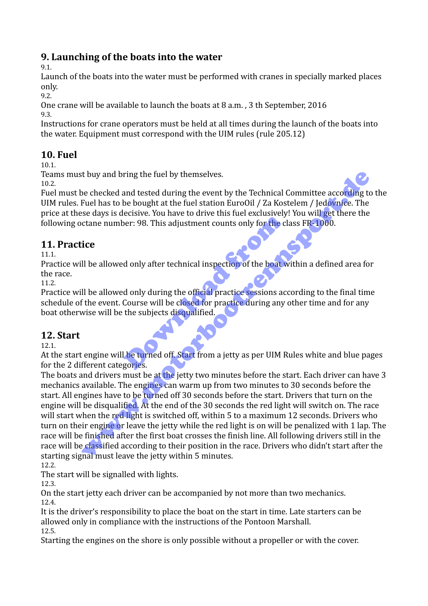### **9. Launching of the boats into the water**

9.1.

Launch of the boats into the water must be performed with cranes in specially marked places only.

9.2.

One crane will be available to launch the boats at 8 a.m. , 3 th September, 2016 9.3.

Instructions for crane operators must be held at all times during the launch of the boats into the water. Equipment must correspond with the UIM rules (rule 205.12)

#### **10. Fuel**

10.1.

Teams must buy and bring the fuel by themselves.

10.2.

Fuel must be checked and tested during the event by the Technical Committee according to the UIM rules. Fuel has to be bought at the fuel station EuroOil / Za Kostelem / Jedovnice. The price at these days is decisive. You have to drive this fuel exclusively! You will get there the following octane number: 98. This adjustment counts only for the class FR-1000.

### **11. Practice**

11.1.

Practice will be allowed only after technical inspection of the boat within a defined area for the race.

11.2.

Practice will be allowed only during the official practice sessions according to the final time schedule of the event. Course will be closed for practice during any other time and for any boat otherwise will be the subjects disqualified. ber: 98. This adjustment counts only for the classes: 98. This adjustment counts only for the classes of the boat with a donly during the official practice sessions accourse will be closed for practice during any of the su

### **12. Start**

12.1.

At the start engine will be turned off. Start from a jetty as per UIM Rules white and blue pages for the 2 different categories.

The boats and drivers must be at the jetty two minutes before the start. Each driver can have 3 mechanics available. The engines can warm up from two minutes to 30 seconds before the start. All engines have to be turned off 30 seconds before the start. Drivers that turn on the engine will be disqualified. At the end of the 30 seconds the red light will switch on. The race will start when the red light is switched off, within 5 to a maximum 12 seconds. Drivers who turn on their engine or leave the jetty while the red light is on will be penalized with 1 lap. The race will be finished after the first boat crosses the finish line. All following drivers still in the race will be classified according to their position in the race. Drivers who didn't start after the starting signal must leave the jetty within 5 minutes. A thuy and bring the fuel by themselves.<br>
The checked and tested during the event by the Technical Committee according to<br>
Fuel has to be lought at the fuel station EuroOII / Za Kostelem / Jedovice. The<br>
see days is decisi

12.2.

The start will be signalled with lights.

12.3.

On the start jetty each driver can be accompanied by not more than two mechanics. 12.4.

It is the driver's responsibility to place the boat on the start in time. Late starters can be allowed only in compliance with the instructions of the Pontoon Marshall. 12.5.

Starting the engines on the shore is only possible without a propeller or with the cover.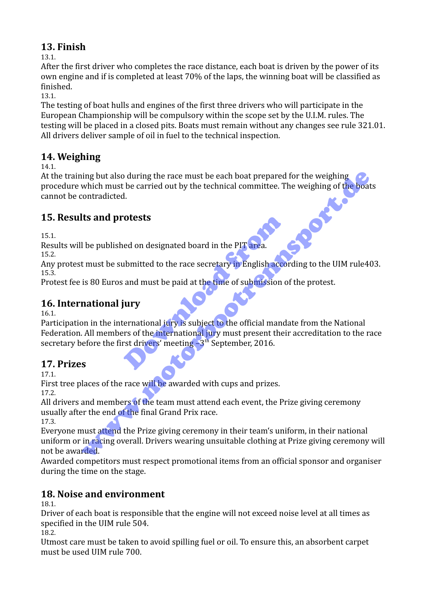### **13. Finish**

13.1.

After the first driver who completes the race distance, each boat is driven by the power of its own engine and if is completed at least 70% of the laps, the winning boat will be classified as finished.

13.1.

The testing of boat hulls and engines of the first three drivers who will participate in the European Championship will be compulsory within the scope set by the U.I.M. rules. The testing will be placed in a closed pits. Boats must remain without any changes see rule 321.01. All drivers deliver sample of oil in fuel to the technical inspection.

### **14. Weighing**

14.1.

At the training but also during the race must be each boat prepared for the weighing procedure which must be carried out by the technical committee. The weighing of the boats cannot be contradicted. ing but also during the race must be each boat prepared for the weighing which must be carried out by the technical committee. The weighing of the boat contradicted.<br>
Its and protests<br>
Its and protests<br>
Its and protests<br>
I

### **15. Results and protests**

15.1.

Results will be published on designated board in the PIT area.

15.2.

Any protest must be submitted to the race secretary in English according to the UIM rule403. 15.3.

Protest fee is 80 Euros and must be paid at the time of submission of the protest.

## **16. International jury**

16.1.

Participation in the international jury is subject to the official mandate from the National Federation. All members of the international jury must present their accreditation to the race secretary before the first drivers' meeting  $-3<sup>th</sup>$  September, 2016. otests<br>
ed on designated board in the PIT area.<br>
ubmitted to the race secretary in English acco<br>
and must be paid at the time of submission o<br>
iury<br>
ernational jury is subject to the official mandations of the internationa

### **17. Prizes**

17.1.

First tree places of the race will be awarded with cups and prizes. 17.2.

All drivers and members of the team must attend each event, the Prize giving ceremony usually after the end of the final Grand Prix race.

17.3.

Everyone must attend the Prize giving ceremony in their team's uniform, in their national uniform or in racing overall. Drivers wearing unsuitable clothing at Prize giving ceremony will not be awarded.

Awarded competitors must respect promotional items from an official sponsor and organiser during the time on the stage.

## **18. Noise and environment**

18.1.

Driver of each boat is responsible that the engine will not exceed noise level at all times as specified in the UIM rule 504.

18.2.

Utmost care must be taken to avoid spilling fuel or oil. To ensure this, an absorbent carpet must be used UIM rule 700.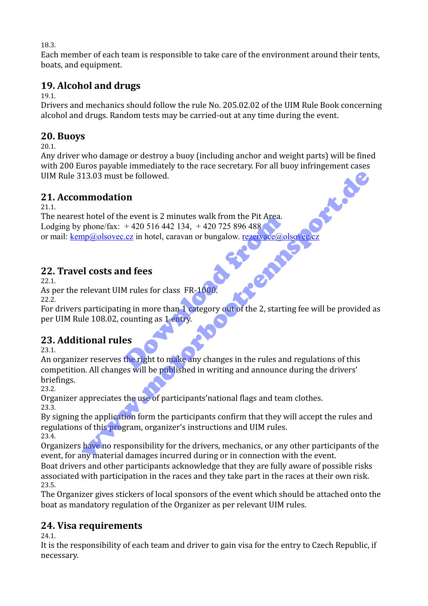18.3.

Each member of each team is responsible to take care of the environment around their tents, boats, and equipment.

## **19. Alcohol and drugs**

19.1.

Drivers and mechanics should follow the rule No. 205.02.02 of the UIM Rule Book concerning alcohol and drugs. Random tests may be carried-out at any time during the event.

#### **20. Buoys**

20.1.

Any driver who damage or destroy a buoy (including anchor and weight parts) will be fined with 200 Euros payable immediately to the race secretary. For all buoy infringement cases UIM Rule 313.03 must be followed.

### **21. Accommodation**

21.1.

The nearest hotel of the event is 2 minutes walk from the Pit Area. Lodging by phone/fax:  $+420\,516\,442\,134$ ,  $+420\,725\,896\,488$ or mail: kemp@olsovec.cz in hotel, caravan or bungalow. rezervace@olsovec e event is 2 minutes walk from the PIt Area.<br>
+ 420 516 442 134, + 420 725 896 488<br>
i.cz in hotel, caravan or bungalow. <u>rezervace@o</u><br> **nd fees**<br>
M rules for class FR-1000.<br>
Ing in more than 1 category out of the 2, starti

### **22. Travel costs and fees**

22.1.

As per the relevant UIM rules for class FR-1000.

22.2.

For drivers participating in more than 1 category out of the 2, starting fee will be provided as per UIM Rule 108.02, counting as 1 entry.

### **23. Additional rules**

23.1.

An organizer reserves the right to make any changes in the rules and regulations of this competition. All changes will be published in writing and announce during the drivers' briefings. 13.03 must be followed.<br> **nmodation**<br>
thotel of the event is 2 minutes walk from the Pit Area.<br>
phonc/fax: +420 516 442 134, +420 725 896 488<br>
pp@olsovec.cz in hotel, caravan or bungalow. reservace@olsovec.cz<br>
el costs and

23.2.

Organizer appreciates the use of participants'national flags and team clothes. 23.3.

By signing the application form the participants confirm that they will accept the rules and regulations of this program, organizer's instructions and UIM rules. 23.4.

Organizers have no responsibility for the drivers, mechanics, or any other participants of the event, for any material damages incurred during or in connection with the event.

Boat drivers and other participants acknowledge that they are fully aware of possible risks associated with participation in the races and they take part in the races at their own risk. 23.5.

The Organizer gives stickers of local sponsors of the event which should be attached onto the boat as mandatory regulation of the Organizer as per relevant UIM rules.

## **24. Visa requirements**

24.1.

It is the responsibility of each team and driver to gain visa for the entry to Czech Republic, if necessary.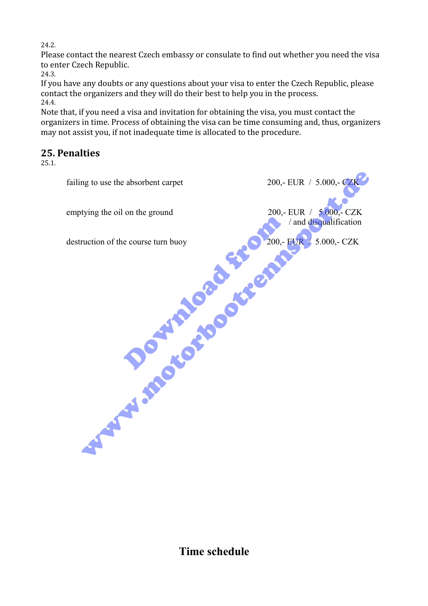24.2.

Please contact the nearest Czech embassy or consulate to find out whether you need the visa to enter Czech Republic.

24.3.

If you have any doubts or any questions about your visa to enter the Czech Republic, please contact the organizers and they will do their best to help you in the process. 24.4.

Note that, if you need a visa and invitation for obtaining the visa, you must contact the organizers in time. Process of obtaining the visa can be time consuming and, thus, organizers may not assist you, if not inadequate time is allocated to the procedure.

#### **25. Penalties**

25.1.

failing to use the absorbent carpet  $200, - \text{EUR}$  / 5.000,- CZK emptying the oil on the ground  $200$ ,- EUR  $/$  5.000,- CZK *land disqualification* destruction of the course turn buoy  $\bigcirc$  200,- EUR / 5.000,- CZK e course turn buoy Wing the oil on the ground<br>tying the oil on the ground<br>ruction of the course turn buoy<br>ruction of the course turn buoy<br>**COLUME AND COLUME AND COLUME AND COLUME AND COLUME AND COLUME AND COLUME AND COLUMN AND COLUMN AND COL** 

**Time schedule**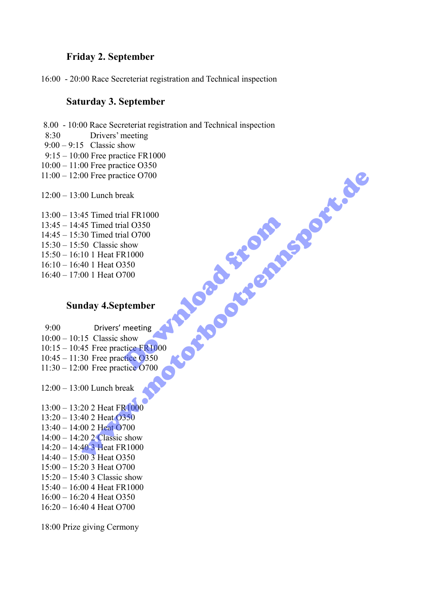#### **Friday 2. September**

16:00 - 20:00 Race Secreteriat registration and Technical inspection

#### **Saturday 3. September**

8.00 - 10:00 Race Secreteriat registration and Technical inspection

- 8:30 Drivers' meeting
- $9:00 9:15$  Classic show
- 9:15 10:00 Free practice FR1000
- 10:00 11:00 Free practice O350
- 11:00 12:00 Free practice O700

12:00 – 13:00 Lunch break

- 13:00 13:45 Timed trial FR1000
- 13:45 14:45 Timed trial O350
- 14:45 15:30 Timed trial O700
- 15:30 15:50 Classic show
- 15:50 16:10 1 Heat FR1000
- 16:10 16:40 1 Heat O350
- $16:40 17:00$  1 Heat O700

#### **Sunday 4.September**

- 9:00 Drivers' meeting 10:00 – 10:15 Classic show 10:15 – 10:45 Free practice FR1000 10:45 – 11:30 Free practice O350 11:30 – 12:00 Free practice O700 al 0350<br>al 0350<br>how<br>x1000<br>3350<br>tember<br>meeting<br>meeting<br>how<br>tice C700
- 12:00 13:00 Lunch break
- 13:00 13:20 2 Heat FR1000 13:20 – 13:40 2 Heat O350 13:40 – 14:00 2 Heat O700  $14:00 - 14:20$  2 Classic show 14:20 – 14:40 3 Heat FR1000 14:40 – 15:00 3 Heat O350 15:00 – 15:20 3 Heat O700 15:20 – 15:40 3 Classic show 00 Experiment B<br>
10 Lunch break<br>
45 Timed trial FR1000<br>
45 Timed trial O700<br>
10 1 Heat O700<br>
10 1 Heat O700<br>
10 1 Heat O700<br>
401 Heat O700<br>
10 Heat O700<br>
15 Classic show<br>
55 Classic show<br>
20 2 Heat FR1000<br>
20 2 Heat FR1000
- 15:40 16:00 4 Heat FR1000
- 16:00 16:20 4 Heat O350
- 16:20 16:40 4 Heat O700

18:00 Prize giving Cermony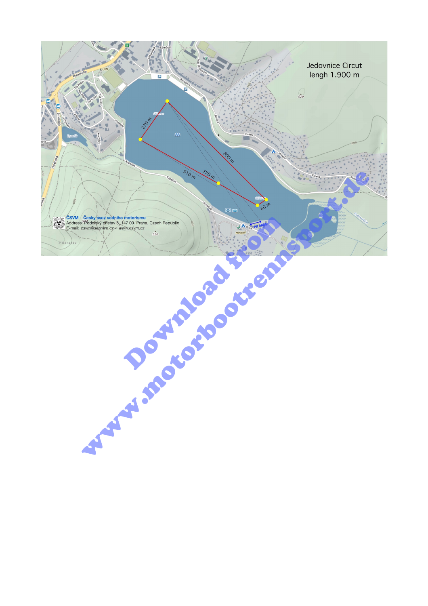